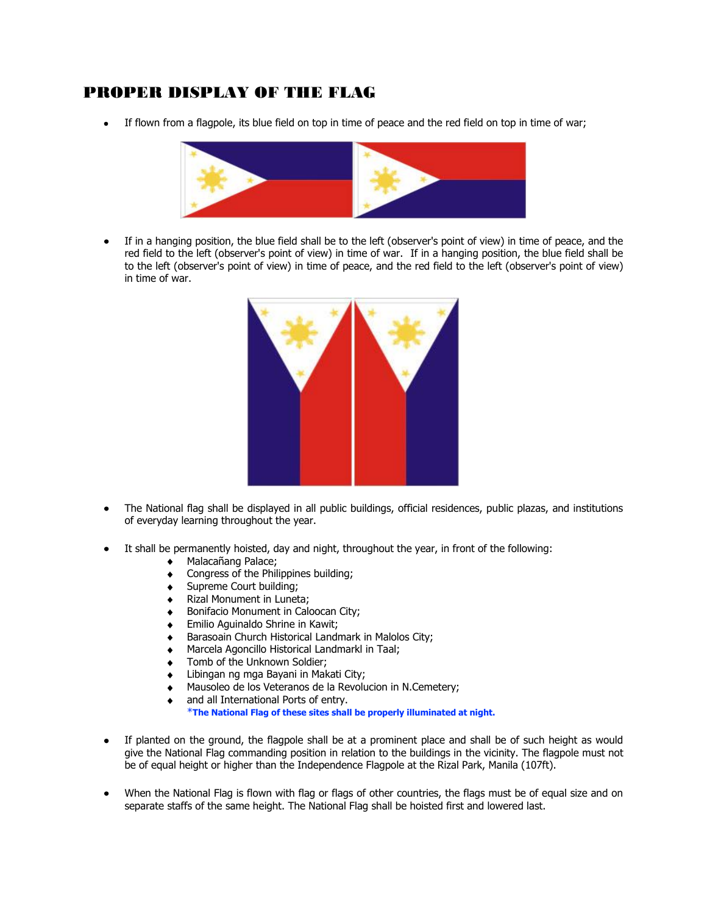## PROPER DISPLAY OF THE FLAG

If flown from a flagpole, its blue field on top in time of peace and the red field on top in time of war;



If in a hanging position, the blue field shall be to the left (observer's point of view) in time of peace, and the  $\bullet$ red field to the left (observer's point of view) in time of war. If in a hanging position, the blue field shall be to the left (observer's point of view) in time of peace, and the red field to the left (observer's point of view) in time of war.



- The National flag shall be displayed in all public buildings, official residences, public plazas, and institutions  $\bullet$ of everyday learning throughout the year.
- It shall be permanently hoisted, day and night, throughout the year, in front of the following:  $\bullet$ 
	- $\bullet$ Malacañang Palace;
	- Congress of the Philippines building;  $\ddot{\bullet}$
	- Supreme Court building;  $\bullet$
	- Rizal Monument in Luneta;  $\bullet$
	- Bonifacio Monument in Caloocan City;  $\bullet$
	- Emilio Aguinaldo Shrine in Kawit;  $\bullet$
	- Barasoain Church Historical Landmark in Malolos City;
	- Marcela Agoncillo Historical Landmarkl in Taal;
	- Tomb of the Unknown Soldier;
	- Libingan ng mga Bayani in Makati City;  $\bullet$
	- Mausoleo de los Veteranos de la Revolucion in N.Cemetery;  $\bullet$
	- and all International Ports of entry.  $\bullet$

\***The National Flag of these sites shall be properly illuminated at night.**

- If planted on the ground, the flagpole shall be at a prominent place and shall be of such height as would  $\bullet$ give the National Flag commanding position in relation to the buildings in the vicinity. The flagpole must not be of equal height or higher than the Independence Flagpole at the Rizal Park, Manila (107ft).
- When the National Flag is flown with flag or flags of other countries, the flags must be of equal size and on separate staffs of the same height. The National Flag shall be hoisted first and lowered last.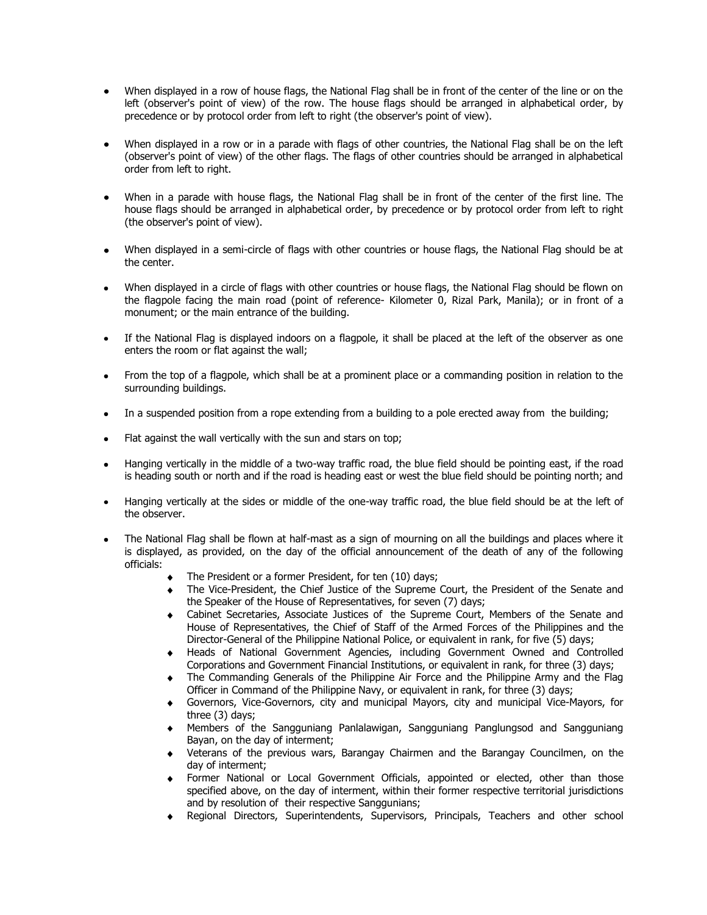- When displayed in a row of house flags, the National Flag shall be in front of the center of the line or on the left (observer's point of view) of the row. The house flags should be arranged in alphabetical order, by precedence or by protocol order from left to right (the observer's point of view).
- When displayed in a row or in a parade with flags of other countries, the National Flag shall be on the left (observer's point of view) of the other flags. The flags of other countries should be arranged in alphabetical order from left to right.
- When in a parade with house flags, the National Flag shall be in front of the center of the first line. The house flags should be arranged in alphabetical order, by precedence or by protocol order from left to right (the observer's point of view).
- When displayed in a semi-circle of flags with other countries or house flags, the National Flag should be at the center.
- When displayed in a circle of flags with other countries or house flags, the National Flag should be flown on the flagpole facing the main road (point of reference- Kilometer 0, Rizal Park, Manila); or in front of a monument; or the main entrance of the building.
- If the National Flag is displayed indoors on a flagpole, it shall be placed at the left of the observer as one  $\bullet$ enters the room or flat against the wall;
- From the top of a flagpole, which shall be at a prominent place or a commanding position in relation to the surrounding buildings.
- In a suspended position from a rope extending from a building to a pole erected away from the building;
- Flat against the wall vertically with the sun and stars on top;
- Hanging vertically in the middle of a two-way traffic road, the blue field should be pointing east, if the road  $\bullet$ is heading south or north and if the road is heading east or west the blue field should be pointing north; and
- Hanging vertically at the sides or middle of the one-way traffic road, the blue field should be at the left of the observer.
- The National Flag shall be flown at half-mast as a sign of mourning on all the buildings and places where it is displayed, as provided, on the day of the official announcement of the death of any of the following officials:
	- The President or a former President, for ten (10) days;
	- The Vice-President, the Chief Justice of the Supreme Court, the President of the Senate and the Speaker of the House of Representatives, for seven (7) days;
	- Cabinet Secretaries, Associate Justices of the Supreme Court, Members of the Senate and House of Representatives, the Chief of Staff of the Armed Forces of the Philippines and the Director-General of the Philippine National Police, or equivalent in rank, for five (5) days;
	- Heads of National Government Agencies, including Government Owned and Controlled Corporations and Government Financial Institutions, or equivalent in rank, for three (3) days;
	- The Commanding Generals of the Philippine Air Force and the Philippine Army and the Flag Officer in Command of the Philippine Navy, or equivalent in rank, for three (3) days;
	- Governors, Vice-Governors, city and municipal Mayors, city and municipal Vice-Mayors, for three (3) days;
	- Members of the Sangguniang Panlalawigan, Sangguniang Panglungsod and Sangguniang Bayan, on the day of interment;
	- Veterans of the previous wars, Barangay Chairmen and the Barangay Councilmen, on the day of interment;
	- Former National or Local Government Officials, appointed or elected, other than those specified above, on the day of interment, within their former respective territorial jurisdictions and by resolution of their respective Sanggunians;
	- Regional Directors, Superintendents, Supervisors, Principals, Teachers and other school